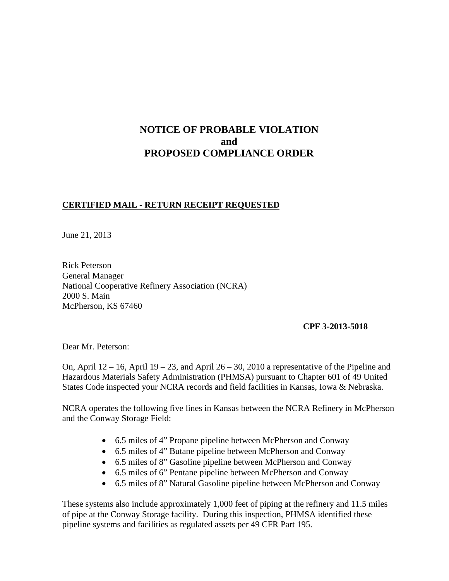# **NOTICE OF PROBABLE VIOLATION and PROPOSED COMPLIANCE ORDER**

## **CERTIFIED MAIL - RETURN RECEIPT REQUESTED**

June 21, 2013

Rick Peterson General Manager National Cooperative Refinery Association (NCRA) 2000 S. Main McPherson, KS 67460

#### **CPF 3-2013-5018**

Dear Mr. Peterson:

On, April  $12 - 16$ , April  $19 - 23$ , and April  $26 - 30$ , 2010 a representative of the Pipeline and Hazardous Materials Safety Administration (PHMSA) pursuant to Chapter 601 of 49 United States Code inspected your NCRA records and field facilities in Kansas, Iowa & Nebraska.

NCRA operates the following five lines in Kansas between the NCRA Refinery in McPherson and the Conway Storage Field:

- 6.5 miles of 4" Propane pipeline between McPherson and Conway
- 6.5 miles of 4" Butane pipeline between McPherson and Conway
- 6.5 miles of 8" Gasoline pipeline between McPherson and Conway
- 6.5 miles of 6" Pentane pipeline between McPherson and Conway
- 6.5 miles of 8" Natural Gasoline pipeline between McPherson and Conway

These systems also include approximately 1,000 feet of piping at the refinery and 11.5 miles of pipe at the Conway Storage facility. During this inspection, PHMSA identified these pipeline systems and facilities as regulated assets per 49 CFR Part 195.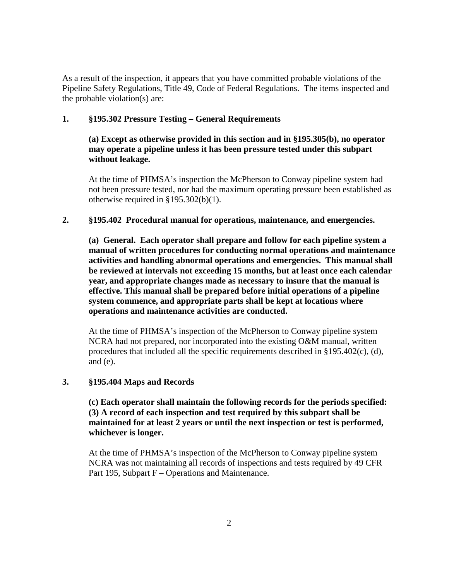As a result of the inspection, it appears that you have committed probable violations of the Pipeline Safety Regulations, Title 49, Code of Federal Regulations. The items inspected and the probable violation(s) are:

### **1. §195.302 Pressure Testing – General Requirements**

**(a) Except as otherwise provided in this section and in §195.305(b), no operator may operate a pipeline unless it has been pressure tested under this subpart without leakage.** 

At the time of PHMSA's inspection the McPherson to Conway pipeline system had not been pressure tested, nor had the maximum operating pressure been established as otherwise required in §195.302(b)(1).

#### **2. §195.402 Procedural manual for operations, maintenance, and emergencies.**

**(a) General. Each operator shall prepare and follow for each pipeline system a manual of written procedures for conducting normal operations and maintenance activities and handling abnormal operations and emergencies. This manual shall be reviewed at intervals not exceeding 15 months, but at least once each calendar year, and appropriate changes made as necessary to insure that the manual is effective. This manual shall be prepared before initial operations of a pipeline system commence, and appropriate parts shall be kept at locations where operations and maintenance activities are conducted.**

At the time of PHMSA's inspection of the McPherson to Conway pipeline system NCRA had not prepared, nor incorporated into the existing O&M manual, written procedures that included all the specific requirements described in §195.402(c), (d), and (e).

#### **3. §195.404 Maps and Records**

**(c) Each operator shall maintain the following records for the periods specified: (3) A record of each inspection and test required by this subpart shall be maintained for at least 2 years or until the next inspection or test is performed, whichever is longer.**

 At the time of PHMSA's inspection of the McPherson to Conway pipeline system NCRA was not maintaining all records of inspections and tests required by 49 CFR Part 195, Subpart F – Operations and Maintenance.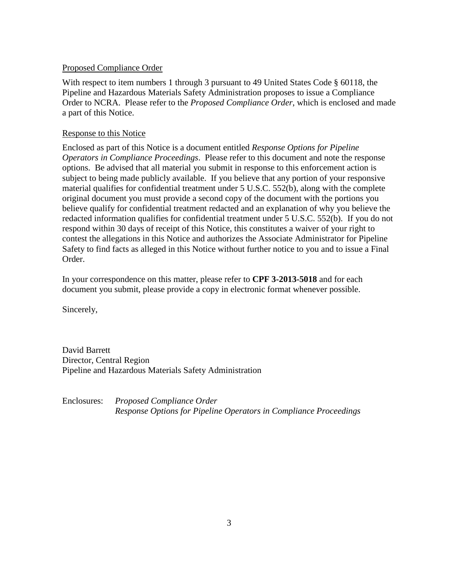#### Proposed Compliance Order

With respect to item numbers 1 through 3 pursuant to 49 United States Code § 60118, the Pipeline and Hazardous Materials Safety Administration proposes to issue a Compliance Order to NCRA. Please refer to the *Proposed Compliance Order*, which is enclosed and made a part of this Notice.

#### Response to this Notice

Enclosed as part of this Notice is a document entitled *Response Options for Pipeline Operators in Compliance Proceedings*. Please refer to this document and note the response options. Be advised that all material you submit in response to this enforcement action is subject to being made publicly available. If you believe that any portion of your responsive material qualifies for confidential treatment under 5 U.S.C. 552(b), along with the complete original document you must provide a second copy of the document with the portions you believe qualify for confidential treatment redacted and an explanation of why you believe the redacted information qualifies for confidential treatment under 5 U.S.C. 552(b). If you do not respond within 30 days of receipt of this Notice, this constitutes a waiver of your right to contest the allegations in this Notice and authorizes the Associate Administrator for Pipeline Safety to find facts as alleged in this Notice without further notice to you and to issue a Final Order.

In your correspondence on this matter, please refer to **CPF 3-2013-5018** and for each document you submit, please provide a copy in electronic format whenever possible.

Sincerely,

David Barrett Director, Central Region Pipeline and Hazardous Materials Safety Administration

Enclosures: *Proposed Compliance Order Response Options for Pipeline Operators in Compliance Proceedings*